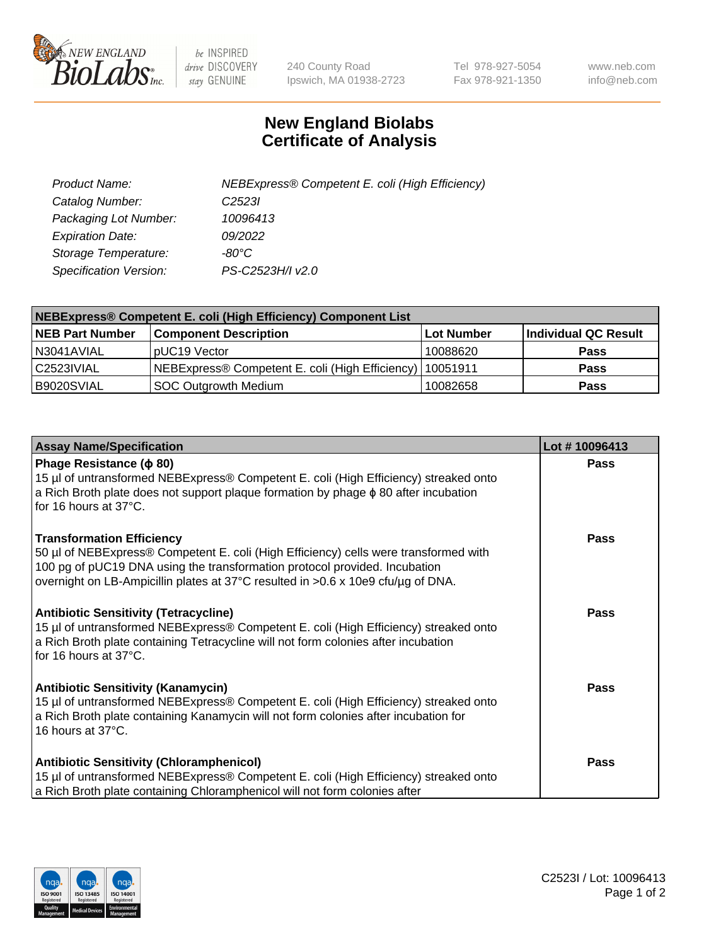

 $be$  INSPIRED drive DISCOVERY stay GENUINE

240 County Road Ipswich, MA 01938-2723 Tel 978-927-5054 Fax 978-921-1350 www.neb.com info@neb.com

## **New England Biolabs Certificate of Analysis**

| Product Name:           | NEBExpress® Competent E. coli (High Efficiency) |
|-------------------------|-------------------------------------------------|
| Catalog Number:         | C <sub>2523</sub>                               |
| Packaging Lot Number:   | 10096413                                        |
| <b>Expiration Date:</b> | 09/2022                                         |
| Storage Temperature:    | -80°C                                           |
| Specification Version:  | PS-C2523H/I v2.0                                |

| NEBExpress® Competent E. coli (High Efficiency) Component List |                                                            |                   |                      |  |
|----------------------------------------------------------------|------------------------------------------------------------|-------------------|----------------------|--|
| <b>NEB Part Number</b>                                         | <b>Component Description</b>                               | <b>Lot Number</b> | Individual QC Result |  |
| N3041AVIAL                                                     | pUC19 Vector                                               | 10088620          | Pass                 |  |
| C2523IVIAL                                                     | NEBExpress® Competent E. coli (High Efficiency)   10051911 |                   | <b>Pass</b>          |  |
| B9020SVIAL                                                     | SOC Outgrowth Medium                                       | 10082658          | <b>Pass</b>          |  |

| <b>Assay Name/Specification</b>                                                                                                                                                                                                                                                            | Lot #10096413 |
|--------------------------------------------------------------------------------------------------------------------------------------------------------------------------------------------------------------------------------------------------------------------------------------------|---------------|
| Phage Resistance ( $\phi$ 80)<br>15 µl of untransformed NEBExpress® Competent E. coli (High Efficiency) streaked onto<br>a Rich Broth plate does not support plaque formation by phage $\phi$ 80 after incubation<br>for 16 hours at 37°C.                                                 | <b>Pass</b>   |
| <b>Transformation Efficiency</b><br>50 µl of NEBExpress® Competent E. coli (High Efficiency) cells were transformed with<br>100 pg of pUC19 DNA using the transformation protocol provided. Incubation<br>overnight on LB-Ampicillin plates at 37°C resulted in >0.6 x 10e9 cfu/µg of DNA. | Pass          |
| <b>Antibiotic Sensitivity (Tetracycline)</b><br>15 µl of untransformed NEBExpress® Competent E. coli (High Efficiency) streaked onto<br>a Rich Broth plate containing Tetracycline will not form colonies after incubation<br>for 16 hours at 37°C.                                        | Pass          |
| <b>Antibiotic Sensitivity (Kanamycin)</b><br>15 µl of untransformed NEBExpress® Competent E. coli (High Efficiency) streaked onto<br>a Rich Broth plate containing Kanamycin will not form colonies after incubation for<br>16 hours at 37°C.                                              | Pass          |
| <b>Antibiotic Sensitivity (Chloramphenicol)</b><br>15 µl of untransformed NEBExpress® Competent E. coli (High Efficiency) streaked onto<br>a Rich Broth plate containing Chloramphenicol will not form colonies after                                                                      | Pass          |